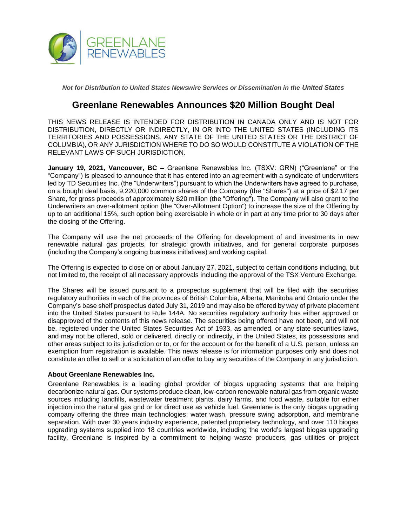

*Not for Distribution to United States Newswire Services or Dissemination in the United States*

## **Greenlane Renewables Announces \$20 Million Bought Deal**

THIS NEWS RELEASE IS INTENDED FOR DISTRIBUTION IN CANADA ONLY AND IS NOT FOR DISTRIBUTION, DIRECTLY OR INDIRECTLY, IN OR INTO THE UNITED STATES (INCLUDING ITS TERRITORIES AND POSSESSIONS, ANY STATE OF THE UNITED STATES OR THE DISTRICT OF COLUMBIA), OR ANY JURISDICTION WHERE TO DO SO WOULD CONSTITUTE A VIOLATION OF THE RELEVANT LAWS OF SUCH JURISDICTION.

**January 19, 2021, Vancouver, BC –** Greenlane Renewables Inc. (TSXV: GRN) ("Greenlane" or the "Company") is pleased to announce that it has entered into an agreement with a syndicate of underwriters led by TD Securities Inc. (the "Underwriters") pursuant to which the Underwriters have agreed to purchase, on a bought deal basis, 9,220,000 common shares of the Company (the "Shares") at a price of \$2.17 per Share, for gross proceeds of approximately \$20 million (the "Offering"). The Company will also grant to the Underwriters an over-allotment option (the "Over-Allotment Option") to increase the size of the Offering by up to an additional 15%, such option being exercisable in whole or in part at any time prior to 30 days after the closing of the Offering.

The Company will use the net proceeds of the Offering for development of and investments in new renewable natural gas projects, for strategic growth initiatives, and for general corporate purposes (including the Company's ongoing business initiatives) and working capital.

The Offering is expected to close on or about January 27, 2021, subject to certain conditions including, but not limited to, the receipt of all necessary approvals including the approval of the TSX Venture Exchange.

The Shares will be issued pursuant to a prospectus supplement that will be filed with the securities regulatory authorities in each of the provinces of British Columbia, Alberta, Manitoba and Ontario under the Company's base shelf prospectus dated July 31, 2019 and may also be offered by way of private placement into the United States pursuant to Rule 144A. No securities regulatory authority has either approved or disapproved of the contents of this news release. The securities being offered have not been, and will not be, registered under the United States Securities Act of 1933, as amended, or any state securities laws, and may not be offered, sold or delivered, directly or indirectly, in the United States, its possessions and other areas subject to its jurisdiction or to, or for the account or for the benefit of a U.S. person, unless an exemption from registration is available. This news release is for information purposes only and does not constitute an offer to sell or a solicitation of an offer to buy any securities of the Company in any jurisdiction.

## **About Greenlane Renewables Inc.**

Greenlane Renewables is a leading global provider of biogas upgrading systems that are helping decarbonize natural gas. Our systems produce clean, low-carbon renewable natural gas from organic waste sources including landfills, wastewater treatment plants, dairy farms, and food waste, suitable for either injection into the natural gas grid or for direct use as vehicle fuel. Greenlane is the only biogas upgrading company offering the three main technologies: water wash, pressure swing adsorption, and membrane separation. With over 30 years industry experience, patented proprietary technology, and over 110 biogas upgrading systems supplied into 18 countries worldwide, including the world's largest biogas upgrading facility, Greenlane is inspired by a commitment to helping waste producers, gas utilities or project